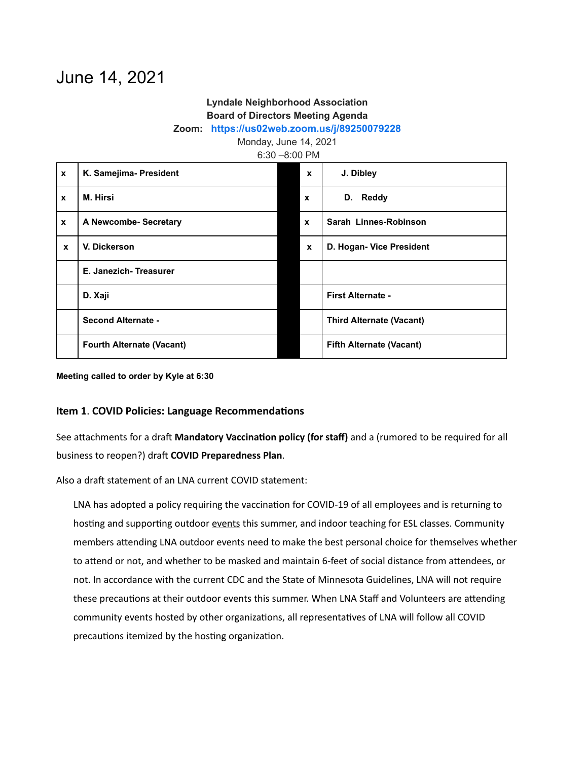# June 14, 2021

## **Lyndale Neighborhood Association Board of Directors Meeting Agenda**

#### **Zoom: <https://us02web.zoom.us/j/89250079228>**

Monday, June 14, 2021

| $6:30 - 8:00$ PM |  |
|------------------|--|
|------------------|--|

| $\boldsymbol{x}$ | K. Samejima- President           | $\mathbf{x}$ | J. Dibley                       |  |  |
|------------------|----------------------------------|--------------|---------------------------------|--|--|
| $\mathbf{x}$     | M. Hirsi                         | $\mathbf{x}$ | <b>Reddy</b><br>D.              |  |  |
| $\boldsymbol{x}$ | A Newcombe- Secretary            | $\mathbf{x}$ | Sarah Linnes-Robinson           |  |  |
| $\mathbf{x}$     | V. Dickerson                     | $\mathbf{x}$ | D. Hogan- Vice President        |  |  |
|                  | E. Janezich-Treasurer            |              |                                 |  |  |
|                  | D. Xaji                          |              | <b>First Alternate -</b>        |  |  |
|                  | <b>Second Alternate -</b>        |              | <b>Third Alternate (Vacant)</b> |  |  |
|                  | <b>Fourth Alternate (Vacant)</b> |              | <b>Fifth Alternate (Vacant)</b> |  |  |

**Meeting called to order by Kyle at 6:30**

## **Item 1. COVID Policies: Language Recommendations**

See attachments for a draft Mandatory Vaccination policy (for staff) and a (rumored to be required for all business to reopen?) dra **COVID Preparedness Plan**.

Also a draft statement of an LNA current COVID statement:

LNA has adopted a policy requiring the vaccination for COVID-19 of all employees and is returning to hosting and supporting outdoor events this summer, and indoor teaching for ESL classes. Community members attending LNA outdoor events need to make the best personal choice for themselves whether to attend or not, and whether to be masked and maintain 6-feet of social distance from attendees, or not. In accordance with the current CDC and the State of Minnesota Guidelines, LNA will not require these precautions at their outdoor events this summer. When LNA Staff and Volunteers are attending community events hosted by other organizations, all representatives of LNA will follow all COVID precautions itemized by the hosting organization.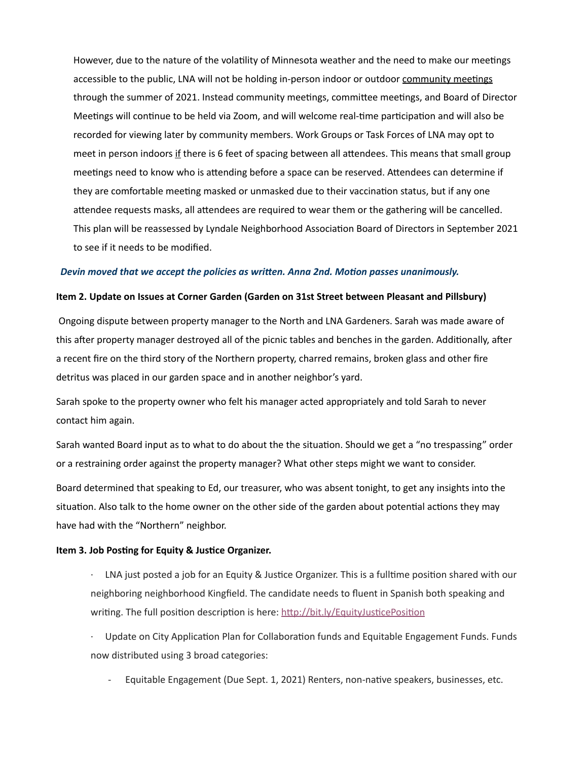However, due to the nature of the volatility of Minnesota weather and the need to make our meetings accessible to the public, LNA will not be holding in-person indoor or outdoor community meetings through the summer of 2021. Instead community meetings, committee meetings, and Board of Director Meetings will continue to be held via Zoom, and will welcome real-time participation and will also be recorded for viewing later by community members. Work Groups or Task Forces of LNA may opt to meet in person indoors if there is 6 feet of spacing between all attendees. This means that small group meetings need to know who is attending before a space can be reserved. Attendees can determine if they are comfortable meeting masked or unmasked due to their vaccination status, but if any one attendee requests masks, all attendees are required to wear them or the gathering will be cancelled. This plan will be reassessed by Lyndale Neighborhood Association Board of Directors in September 2021 to see if it needs to be modified.

#### *Devin moved that we accept the policies as wrien. Anna 2nd. Moon passes unanimously.*

#### **Item 2. Update on Issues at Corner Garden (Garden on 31st Street between Pleasant and Pillsbury)**

Ongoing dispute between property manager to the North and LNA Gardeners. Sarah was made aware of this after property manager destroyed all of the picnic tables and benches in the garden. Additionally, after a recent fire on the third story of the Northern property, charred remains, broken glass and other fire detritus was placed in our garden space and in another neighbor's yard.

Sarah spoke to the property owner who felt his manager acted appropriately and told Sarah to never contact him again.

Sarah wanted Board input as to what to do about the the situation. Should we get a "no trespassing" order or a restraining order against the property manager? What other steps might we want to consider.

Board determined that speaking to Ed, our treasurer, who was absent tonight, to get any insights into the situation. Also talk to the home owner on the other side of the garden about potential actions they may have had with the "Northern" neighbor.

#### **Item 3. Job Posting for Equity & Justice Organizer.**

- $\cdot$  LNA just posted a job for an Equity & Justice Organizer. This is a fulltime position shared with our neighboring neighborhood Kingfield. The candidate needs to fluent in Spanish both speaking and writing. The full position description is here: http://bit.ly/EquityJusticePosition
- $\cdot$  Update on City Application Plan for Collaboration funds and Equitable Engagement Funds. Funds now distributed using 3 broad categories:
	- Equitable Engagement (Due Sept. 1, 2021) Renters, non-native speakers, businesses, etc.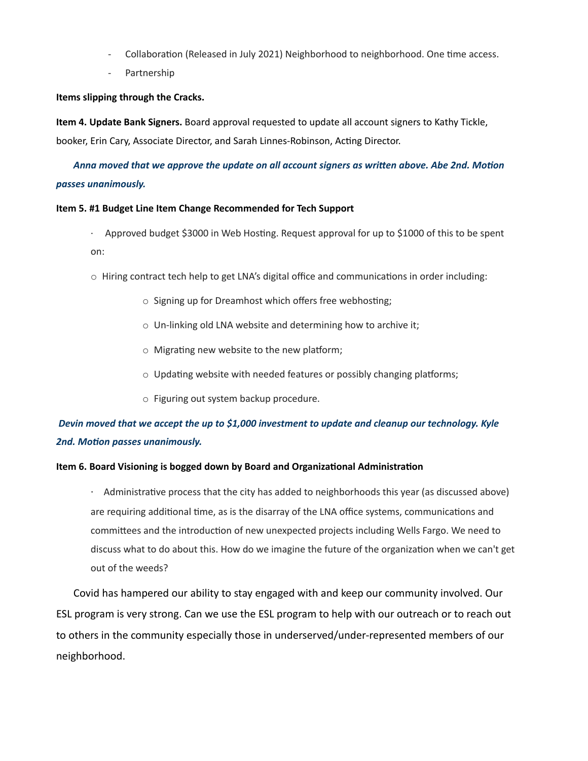- Collaboration (Released in July 2021) Neighborhood to neighborhood. One time access.
- Partnership

#### **Items slipping through the Cracks.**

**Item 4. Update Bank Signers.** Board approval requested to update all account signers to Kathy Tickle, booker, Erin Cary, Associate Director, and Sarah Linnes-Robinson, Acting Director.

## *Anna moved that we approve the update on all account signers as wrien above. Abe 2nd. Moon passes unanimously.*

#### **Item 5. #1 Budget Line Item Change Recommended for Tech Support**

- $\cdot$  Approved budget \$3000 in Web Hosting. Request approval for up to \$1000 of this to be spent on:
- $\circ$  Hiring contract tech help to get LNA's digital office and communications in order including:
	- $\circ$  Signing up for Dreamhost which offers free webhosting;
	- o Un-linking old LNA website and determining how to archive it;
	- $\circ$  Migrating new website to the new platform;
	- $\circ$  Updating website with needed features or possibly changing platforms;
	- o Figuring out system backup procedure.

## *Devin moved that we accept the up to \$1,000 investment to update and cleanup our technology. Kyle* **2nd. Motion passes unanimously.**

#### **Item 6. Board Visioning is bogged down by Board and Organizaonal Administraon**

 $\cdot$  Administrative process that the city has added to neighborhoods this year (as discussed above) are requiring additional time, as is the disarray of the LNA office systems, communications and committees and the introduction of new unexpected projects including Wells Fargo. We need to discuss what to do about this. How do we imagine the future of the organization when we can't get out of the weeds?

Covid has hampered our ability to stay engaged with and keep our community involved. Our ESL program is very strong. Can we use the ESL program to help with our outreach or to reach out to others in the community especially those in underserved/under-represented members of our neighborhood.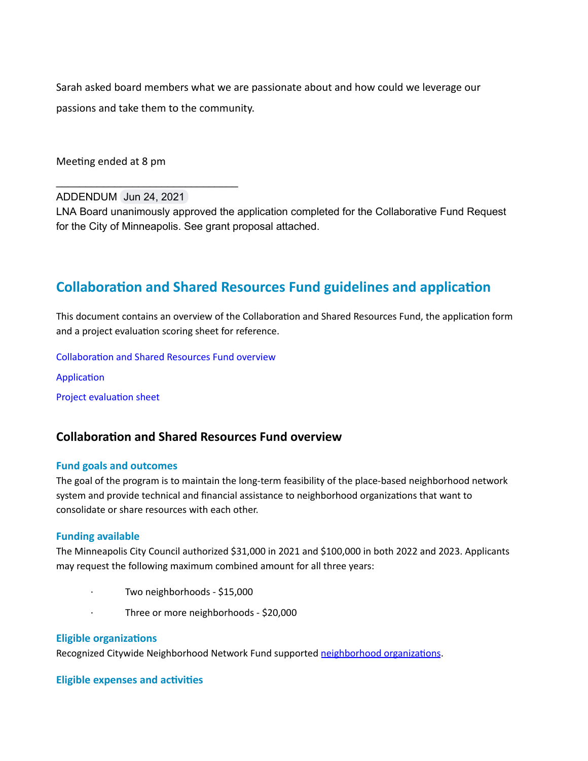Sarah asked board members what we are passionate about and how could we leverage our passions and take them to the community.

Meeting ended at 8 pm

ADDENDUM Jun 24, 2021

\_\_\_\_\_\_\_\_\_\_\_\_\_\_\_\_\_\_\_\_\_\_\_\_\_\_\_\_\_\_\_

LNA Board unanimously approved the application completed for the Collaborative Fund Request for the City of Minneapolis. See grant proposal attached.

## **Collaboration and Shared Resources Fund guidelines and application**

This document contains an overview of the Collaboration and Shared Resources Fund, the application form and a project evaluation scoring sheet for reference.

Collaboration and Shared Resources Fund overview

Application

Project evaluation sheet

## **Collaboration and Shared Resources Fund overview**

#### **Fund goals and outcomes**

The goal of the program is to maintain the long-term feasibility of the place-based neighborhood network system and provide technical and financial assistance to neighborhood organizations that want to consolidate or share resources with each other.

#### **Funding available**

The Minneapolis City Council authorized \$31,000 in 2021 and \$100,000 in both 2022 and 2023. Applicants may request the following maximum combined amount for all three years:

- Two neighborhoods \$15,000
- Three or more neighborhoods \$20,000

#### **Eligible organizations**

Recognized Citywide Neighborhood Network Fund supported [neighborhood](http://apps.ci.minneapolis.mn.us/cofm/Neighborhood-Organizations/) organizations.

#### **Eligible expenses and activities**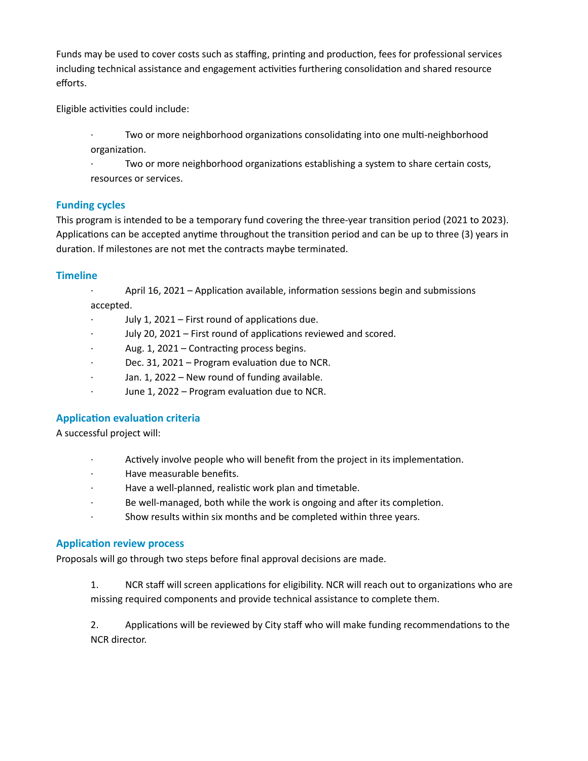Funds may be used to cover costs such as staffing, printing and production, fees for professional services including technical assistance and engagement activities furthering consolidation and shared resource efforts.

Eligible activities could include:

Two or more neighborhood organizations consolidating into one multi-neighborhood organization.

Two or more neighborhood organizations establishing a system to share certain costs, resources or services.

## **Funding cycles**

This program is intended to be a temporary fund covering the three-year transition period (2021 to 2023). Applications can be accepted anytime throughout the transition period and can be up to three (3) years in duration. If milestones are not met the contracts maybe terminated.

## **Timeline**

April 16, 2021 – Application available, information sessions begin and submissions accepted.

- July 1, 2021  $-$  First round of applications due.
- July 20, 2021 First round of applications reviewed and scored.
- Aug.  $1$ , 2021 Contracting process begins.
- Dec. 31, 2021 Program evaluation due to NCR.
- Jan. 1, 2022 New round of funding available.
- $\cdot$  June 1, 2022 Program evaluation due to NCR.

## **Application evaluation criteria**

A successful project will:

- Actively involve people who will benefit from the project in its implementation.
- · Have measurable benefits.
- Have a well-planned, realistic work plan and timetable.
- Be well-managed, both while the work is ongoing and after its completion.
- · Show results within six months and be completed within three years.

## **Application review process**

Proposals will go through two steps before final approval decisions are made.

1. NCR staff will screen applications for eligibility. NCR will reach out to organizations who are missing required components and provide technical assistance to complete them.

2. Applications will be reviewed by City staff who will make funding recommendations to the NCR director.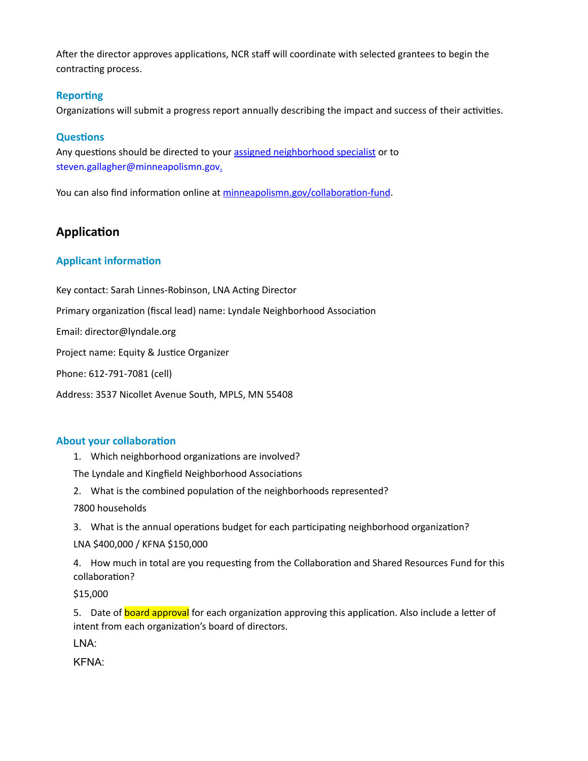After the director approves applications, NCR staff will coordinate with selected grantees to begin the contracting process.

## **Reporting**

Organizations will submit a progress report annually describing the impact and success of their activities.

## **Questions**

Any questions should be directed to your assigned [neighborhood](http://apps.ci.minneapolis.mn.us/cofm/Neighborhood-Organizations/) specialist or to steven.gallagher@minneapolismn.gov.

You can also find information online at minneapolismn.gov/collaboration-fund.

## **Application**

## **Applicant information**

Key contact: Sarah Linnes-Robinson, LNA Acting Director Primary organization (fiscal lead) name: Lyndale Neighborhood Association

Email: director@lyndale.org

Project name: Equity & Justice Organizer

Phone: 612-791-7081 (cell)

Address: 3537 Nicollet Avenue South, MPLS, MN 55408

## **About your collaboration**

1. Which neighborhood organizations are involved?

The Lyndale and Kingfield Neighborhood Associations

2. What is the combined population of the neighborhoods represented?

7800 households

3. What is the annual operations budget for each participating neighborhood organization?

LNA \$400,000 / KFNA \$150,000

4. How much in total are you requesting from the Collaboration and Shared Resources Fund for this collaboration?

\$15,000

5. Date of board approval for each organization approving this application. Also include a letter of intent from each organization's board of directors.

LNA:

KFNA: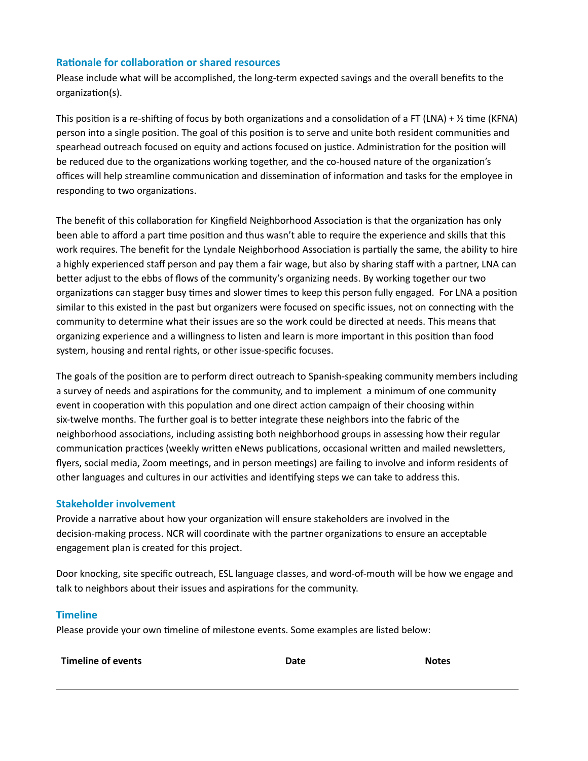## **Rationale for collaboration or shared resources**

Please include what will be accomplished, the long-term expected savings and the overall benefits to the organization(s).

This position is a re-shifting of focus by both organizations and a consolidation of a FT (LNA) +  $\frac{1}{2}$  time (KFNA) person into a single position. The goal of this position is to serve and unite both resident communities and spearhead outreach focused on equity and actions focused on justice. Administration for the position will be reduced due to the organizations working together, and the co-housed nature of the organization's offices will help streamline communication and dissemination of information and tasks for the employee in responding to two organizations.

The benefit of this collaboration for Kingfield Neighborhood Association is that the organization has only been able to afford a part time position and thus wasn't able to require the experience and skills that this work requires. The benefit for the Lyndale Neighborhood Association is partially the same, the ability to hire a highly experienced staff person and pay them a fair wage, but also by sharing staff with a partner, LNA can better adjust to the ebbs of flows of the community's organizing needs. By working together our two organizations can stagger busy times and slower times to keep this person fully engaged. For LNA a position similar to this existed in the past but organizers were focused on specific issues, not on connecting with the community to determine what their issues are so the work could be directed at needs. This means that organizing experience and a willingness to listen and learn is more important in this position than food system, housing and rental rights, or other issue-specific focuses.

The goals of the position are to perform direct outreach to Spanish-speaking community members including a survey of needs and aspirations for the community, and to implement a minimum of one community event in cooperation with this population and one direct action campaign of their choosing within six-twelve months. The further goal is to better integrate these neighbors into the fabric of the neighborhood associations, including assisting both neighborhood groups in assessing how their regular communication practices (weekly written eNews publications, occasional written and mailed newsletters, flyers, social media, Zoom meetings, and in person meetings) are failing to involve and inform residents of other languages and cultures in our activities and identifying steps we can take to address this.

## **Stakeholder involvement**

Provide a narrative about how your organization will ensure stakeholders are involved in the decision-making process. NCR will coordinate with the partner organizations to ensure an acceptable engagement plan is created for this project.

Door knocking, site specific outreach, ESL language classes, and word-of-mouth will be how we engage and talk to neighbors about their issues and aspirations for the community.

## **Timeline**

Please provide your own timeline of milestone events. Some examples are listed below:

**Timeline of events Date Notes**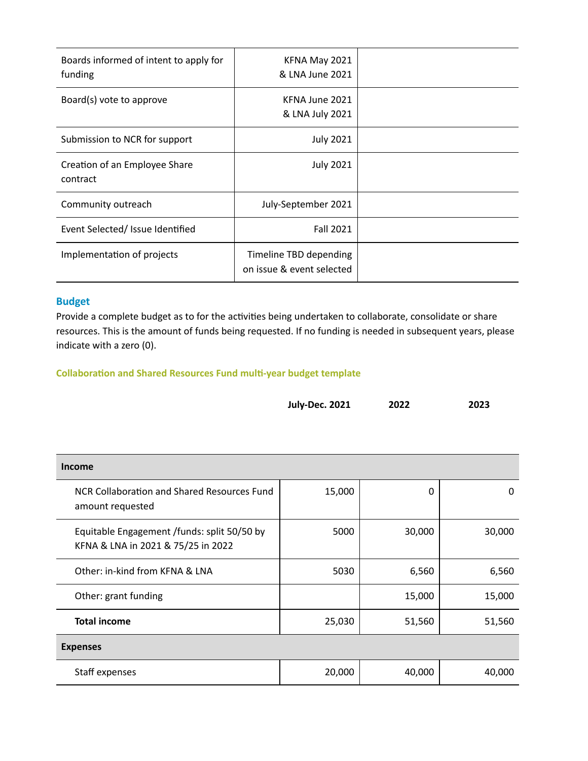| Boards informed of intent to apply for<br>funding | KFNA May 2021<br>& LNA June 2021                    |  |
|---------------------------------------------------|-----------------------------------------------------|--|
| Board(s) vote to approve                          | KFNA June 2021<br>& LNA July 2021                   |  |
| Submission to NCR for support                     | <b>July 2021</b>                                    |  |
| Creation of an Employee Share<br>contract         | <b>July 2021</b>                                    |  |
| Community outreach                                | July-September 2021                                 |  |
| Event Selected/Issue Identified                   | <b>Fall 2021</b>                                    |  |
| Implementation of projects                        | Timeline TBD depending<br>on issue & event selected |  |

## **Budget**

Provide a complete budget as to for the activities being undertaken to collaborate, consolidate or share resources. This is the amount of funds being requested. If no funding is needed in subsequent years, please indicate with a zero (0).

## **Collaboration and Shared Resources Fund multi-year budget template**

| <b>July-Dec. 2021</b> | 2022 | 2023 |
|-----------------------|------|------|
|                       |      |      |

| Income                                                                            |        |        |        |  |  |  |
|-----------------------------------------------------------------------------------|--------|--------|--------|--|--|--|
| NCR Collaboration and Shared Resources Fund<br>amount requested                   | 15,000 | 0      | 0      |  |  |  |
| Equitable Engagement /funds: split 50/50 by<br>KFNA & LNA in 2021 & 75/25 in 2022 | 5000   | 30,000 | 30,000 |  |  |  |
| Other: in-kind from KFNA & LNA                                                    | 5030   | 6,560  | 6,560  |  |  |  |
| Other: grant funding                                                              |        | 15,000 | 15,000 |  |  |  |
| <b>Total income</b>                                                               | 25,030 | 51,560 | 51,560 |  |  |  |
| <b>Expenses</b>                                                                   |        |        |        |  |  |  |
| Staff expenses                                                                    | 20,000 | 40,000 | 40,000 |  |  |  |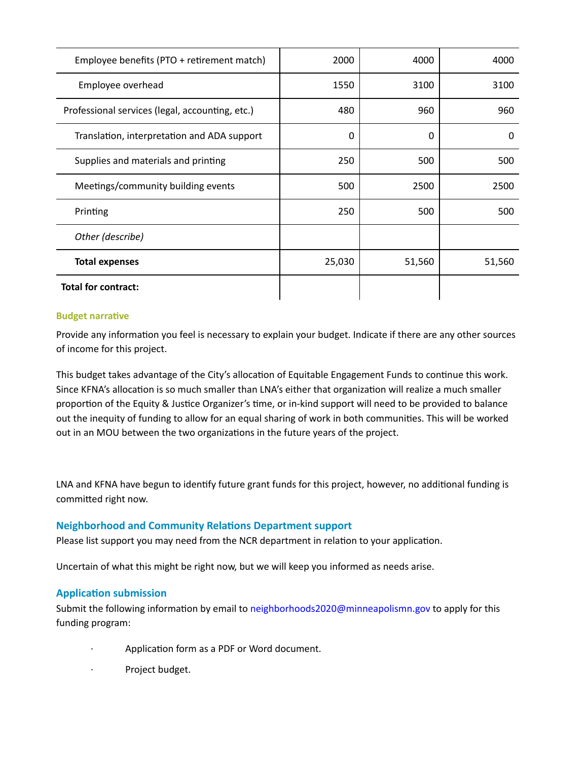| Employee benefits (PTO + retirement match)      | 2000   | 4000   | 4000   |
|-------------------------------------------------|--------|--------|--------|
| Employee overhead                               | 1550   | 3100   | 3100   |
| Professional services (legal, accounting, etc.) | 480    | 960    | 960    |
| Translation, interpretation and ADA support     | 0      | 0      | 0      |
| Supplies and materials and printing             | 250    | 500    | 500    |
| Meetings/community building events              | 500    | 2500   | 2500   |
| Printing                                        | 250    | 500    | 500    |
| Other (describe)                                |        |        |        |
| <b>Total expenses</b>                           | 25,030 | 51,560 | 51,560 |
| <b>Total for contract:</b>                      |        |        |        |

## **Budget narrative**

Provide any information you feel is necessary to explain your budget. Indicate if there are any other sources of income for this project.

This budget takes advantage of the City's allocation of Equitable Engagement Funds to continue this work. Since KFNA's allocation is so much smaller than LNA's either that organization will realize a much smaller proportion of the Equity & Justice Organizer's time, or in-kind support will need to be provided to balance out the inequity of funding to allow for an equal sharing of work in both communities. This will be worked out in an MOU between the two organizations in the future years of the project.

LNA and KFNA have begun to identify future grant funds for this project, however, no additional funding is committed right now.

## **Neighborhood and Community Relations Department support**

Please list support you may need from the NCR department in relation to your application.

Uncertain of what this might be right now, but we will keep you informed as needs arise.

## **Application submission**

Submit the following information by email to neighborhoods2020@minneapolismn.gov to apply for this funding program:

- Application form as a PDF or Word document.
- Project budget.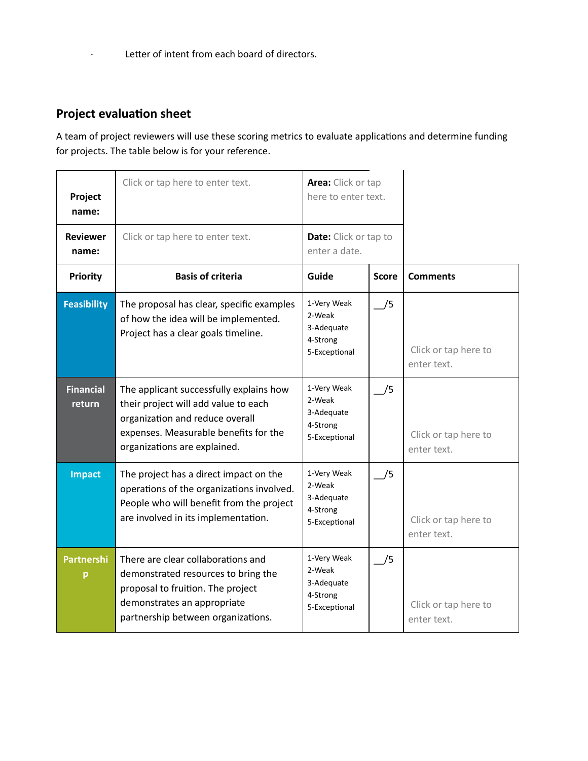# **Project evaluation sheet**

A team of project reviewers will use these scoring metrics to evaluate applications and determine funding for projects. The table below is for your reference.

| Project<br>name:           | Click or tap here to enter text.                                                                                                                                                            | Area: Click or tap<br>here to enter text.                        |              |                                     |
|----------------------------|---------------------------------------------------------------------------------------------------------------------------------------------------------------------------------------------|------------------------------------------------------------------|--------------|-------------------------------------|
| <b>Reviewer</b><br>name:   | Click or tap here to enter text.                                                                                                                                                            | <b>Date:</b> Click or tap to<br>enter a date.                    |              |                                     |
| <b>Priority</b>            | <b>Basis of criteria</b>                                                                                                                                                                    | Guide                                                            | <b>Score</b> | <b>Comments</b>                     |
| <b>Feasibility</b>         | The proposal has clear, specific examples<br>of how the idea will be implemented.<br>Project has a clear goals timeline.                                                                    | 1-Very Weak<br>2-Weak<br>3-Adequate<br>4-Strong<br>5-Exceptional | /5           | Click or tap here to<br>enter text. |
| <b>Financial</b><br>return | The applicant successfully explains how<br>their project will add value to each<br>organization and reduce overall<br>expenses. Measurable benefits for the<br>organizations are explained. | 1-Very Weak<br>2-Weak<br>3-Adequate<br>4-Strong<br>5-Exceptional | /5           | Click or tap here to<br>enter text. |
| <b>Impact</b>              | The project has a direct impact on the<br>operations of the organizations involved.<br>People who will benefit from the project<br>are involved in its implementation.                      | 1-Very Weak<br>2-Weak<br>3-Adequate<br>4-Strong<br>5-Exceptional | /5           | Click or tap here to<br>enter text. |
| <b>Partnershi</b><br>p     | There are clear collaborations and<br>demonstrated resources to bring the<br>proposal to fruition. The project<br>demonstrates an appropriate<br>partnership between organizations.         | 1-Very Weak<br>2-Weak<br>3-Adequate<br>4-Strong<br>5-Exceptional | /5           | Click or tap here to<br>enter text. |